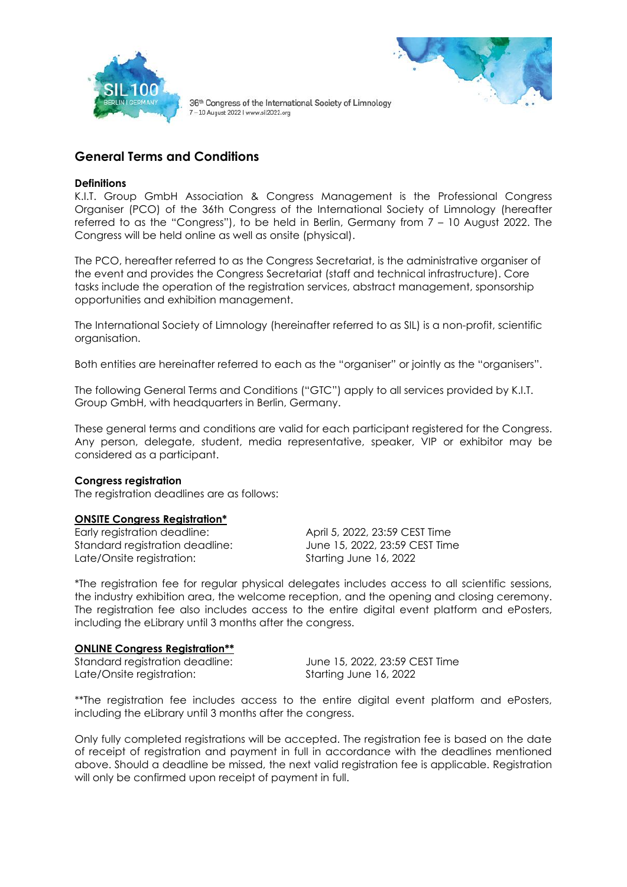



# **General Terms and Conditions**

### **Definitions**

K.I.T. Group GmbH Association & Congress Management is the Professional Congress Organiser (PCO) of the 36th Congress of the International Society of Limnology (hereafter referred to as the "Congress"), to be held in Berlin, Germany from 7 – 10 August 2022. The Congress will be held online as well as onsite (physical).

The PCO, hereafter referred to as the Congress Secretariat, is the administrative organiser of the event and provides the Congress Secretariat (staff and technical infrastructure). Core tasks include the operation of the registration services, abstract management, sponsorship opportunities and exhibition management.

The International Society of Limnology (hereinafter referred to as SIL) is a non-profit, scientific organisation.

Both entities are hereinafter referred to each as the "organiser" or jointly as the "organisers".

The following General Terms and Conditions ("GTC") apply to all services provided by K.I.T. Group GmbH, with headquarters in Berlin, Germany.

These general terms and conditions are valid for each participant registered for the Congress. Any person, delegate, student, media representative, speaker, VIP or exhibitor may be considered as a participant.

#### **Congress registration**

The registration deadlines are as follows:

#### **ONSITE Congress Registration\***

Early registration deadline: April 5, 2022, 23:59 CEST Time Standard registration deadline: June 15, 2022, 23:59 CEST Time Late/Onsite registration: Starting June 16, 2022

\*The registration fee for regular physical delegates includes access to all scientific sessions, the industry exhibition area, the welcome reception, and the opening and closing ceremony. The registration fee also includes access to the entire digital event platform and ePosters, including the eLibrary until 3 months after the congress.

#### **ONLINE Congress Registration\*\***

Late/Onsite registration: Starting June 16, 2022

Standard registration deadline: June 15, 2022, 23:59 CEST Time

\*\*The registration fee includes access to the entire digital event platform and ePosters, including the eLibrary until 3 months after the congress.

Only fully completed registrations will be accepted. The registration fee is based on the date of receipt of registration and payment in full in accordance with the deadlines mentioned above. Should a deadline be missed, the next valid registration fee is applicable. Registration will only be confirmed upon receipt of payment in full.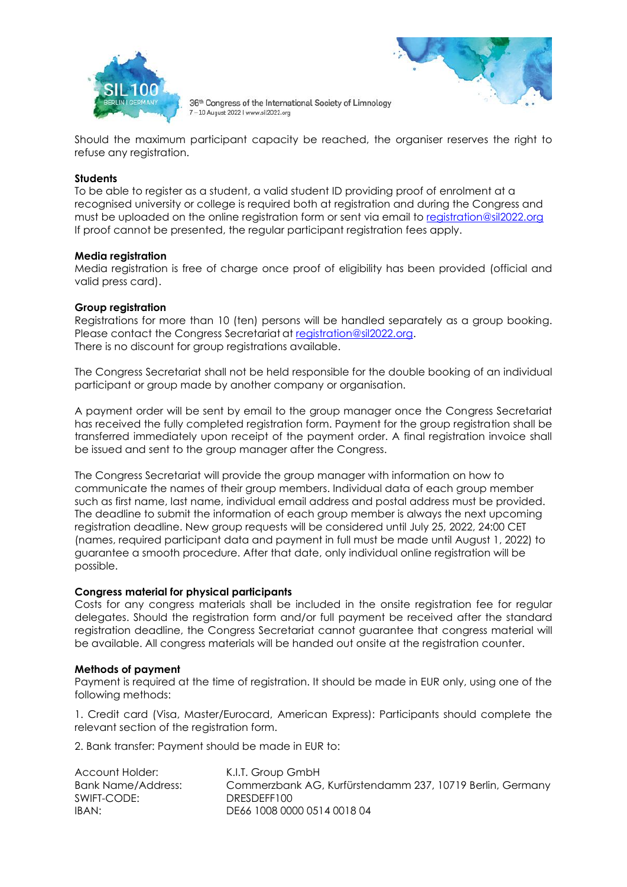



Should the maximum participant capacity be reached, the organiser reserves the right to refuse any registration.

#### **Students**

To be able to register as a student, a valid student ID providing proof of enrolment at a recognised university or college is required both at registration and during the Congress and must be uploaded on the online registration form or sent via email to [registration@sil2022.org](file:///C:/Users/rminguez/Desktop/registration@sil2022.org) If proof cannot be presented, the regular participant registration fees apply.

#### **Media registration**

Media registration is free of charge once proof of eligibility has been provided (official and valid press card).

### **Group registration**

Registrations for more than 10 (ten) persons will be handled separately as a group booking. Please contact the Congress Secretariat at [registration@sil2022.org.](mailto:registration@sil2022.org) There is no discount for group registrations available.

The Congress Secretariat shall not be held responsible for the double booking of an individual participant or group made by another company or organisation.

A payment order will be sent by email to the group manager once the Congress Secretariat has received the fully completed registration form. Payment for the group registration shall be transferred immediately upon receipt of the payment order. A final registration invoice shall be issued and sent to the group manager after the Congress.

The Congress Secretariat will provide the group manager with information on how to communicate the names of their group members. Individual data of each group member such as first name, last name, individual email address and postal address must be provided. The deadline to submit the information of each group member is always the next upcoming registration deadline. New group requests will be considered until July 25, 2022, 24:00 CET (names, required participant data and payment in full must be made until August 1, 2022) to guarantee a smooth procedure. After that date, only individual online registration will be possible.

#### **Congress material for physical participants**

Costs for any congress materials shall be included in the onsite registration fee for regular delegates. Should the registration form and/or full payment be received after the standard registration deadline, the Congress Secretariat cannot guarantee that congress material will be available. All congress materials will be handed out onsite at the registration counter.

#### **Methods of payment**

Payment is required at the time of registration. It should be made in EUR only, using one of the following methods:

1. Credit card (Visa, Master/Eurocard, American Express): Participants should complete the relevant section of the registration form.

2. Bank transfer: Payment should be made in EUR to:

| Account Holder:    | K.I.T. Group GmbH                                         |
|--------------------|-----------------------------------------------------------|
| Bank Name/Address: | Commerzbank AG, Kurfürstendamm 237, 10719 Berlin, Germany |
| SWIFT-CODE:        | DRESDEFF100                                               |
| IBAN:              | DE66 1008 0000 0514 0018 04                               |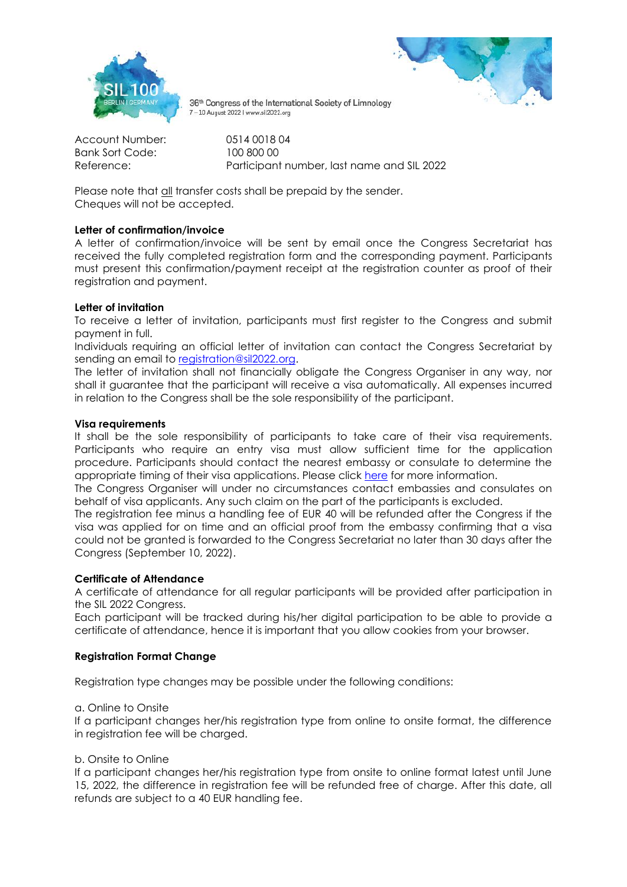



Account Number: 0514 0018 04 Bank Sort Code: 100 800 00

Reference: Participant number, last name and SIL 2022

Please note that all transfer costs shall be prepaid by the sender. Cheques will not be accepted.

# **Letter of confirmation/invoice**

A letter of confirmation/invoice will be sent by email once the Congress Secretariat has received the fully completed registration form and the corresponding payment. Participants must present this confirmation/payment receipt at the registration counter as proof of their registration and payment.

# **Letter of invitation**

To receive a letter of invitation, participants must first register to the Congress and submit payment in full.

Individuals requiring an official letter of invitation can contact the Congress Secretariat by sending an email to [registration@sil2022.org.](mailto:registration@sil2022.org)

The letter of invitation shall not financially obligate the Congress Organiser in any way, nor shall it guarantee that the participant will receive a visa automatically. All expenses incurred in relation to the Congress shall be the sole responsibility of the participant.

### **Visa requirements**

It shall be the sole responsibility of participants to take care of their visa requirements. Participants who require an entry visa must allow sufficient time for the application procedure. Participants should contact the nearest embassy or consulate to determine the appropriate timing of their visa applications. Please click [here](https://www.auswaertiges-amt.de/en/visa-service/buergerservice/faq/-/606848?openAccordionId=item-606702-0-panel) for more information.

The Congress Organiser will under no circumstances contact embassies and consulates on behalf of visa applicants. Any such claim on the part of the participants is excluded.

The registration fee minus a handling fee of EUR 40 will be refunded after the Congress if the visa was applied for on time and an official proof from the embassy confirming that a visa could not be granted is forwarded to the Congress Secretariat no later than 30 days after the Congress (September 10, 2022).

# **Certificate of Attendance**

A certificate of attendance for all regular participants will be provided after participation in the SIL 2022 Congress.

Each participant will be tracked during his/her digital participation to be able to provide a certificate of attendance, hence it is important that you allow cookies from your browser.

# **Registration Format Change**

Registration type changes may be possible under the following conditions:

a. Online to Onsite

If a participant changes her/his registration type from online to onsite format, the difference in registration fee will be charged.

# b. Onsite to Online

If a participant changes her/his registration type from onsite to online format latest until June 15, 2022, the difference in registration fee will be refunded free of charge. After this date, all refunds are subject to a 40 EUR handling fee.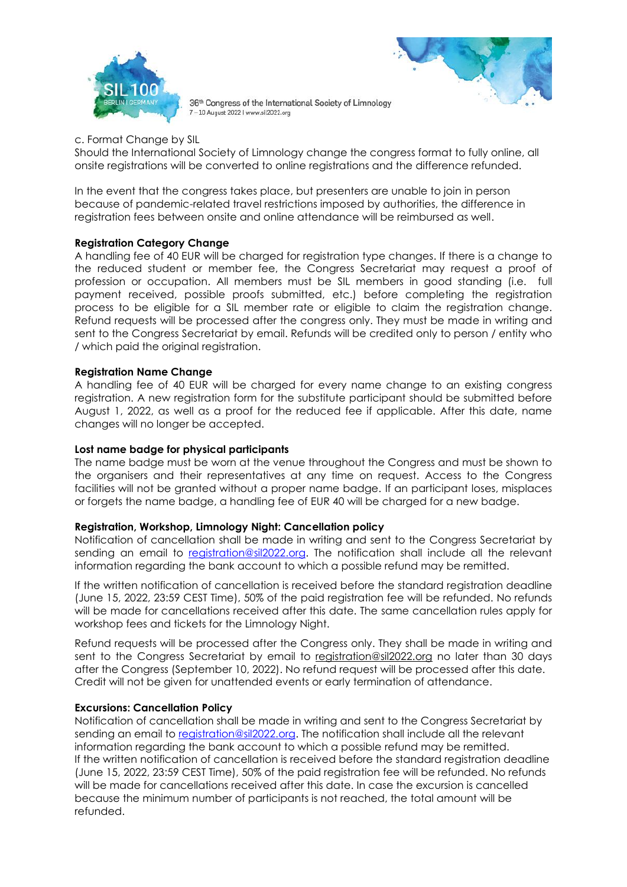



c. Format Change by SIL

Should the International Society of Limnology change the congress format to fully online, all onsite registrations will be converted to online registrations and the difference refunded.

In the event that the congress takes place, but presenters are unable to join in person because of pandemic-related travel restrictions imposed by authorities, the difference in registration fees between onsite and online attendance will be reimbursed as well.

#### **Registration Category Change**

A handling fee of 40 EUR will be charged for registration type changes. If there is a change to the reduced student or member fee, the Congress Secretariat may request a proof of profession or occupation. All members must be SIL members in good standing (i.e. full payment received, possible proofs submitted, etc.) before completing the registration process to be eligible for a SIL member rate or eligible to claim the registration change. Refund requests will be processed after the congress only. They must be made in writing and sent to the Congress Secretariat by email. Refunds will be credited only to person / entity who / which paid the original registration.

#### **Registration Name Change**

A handling fee of 40 EUR will be charged for every name change to an existing congress registration. A new registration form for the substitute participant should be submitted before August 1, 2022, as well as a proof for the reduced fee if applicable. After this date, name changes will no longer be accepted.

#### **Lost name badge for physical participants**

The name badge must be worn at the venue throughout the Congress and must be shown to the organisers and their representatives at any time on request. Access to the Congress facilities will not be granted without a proper name badge. If an participant loses, misplaces or forgets the name badge, a handling fee of EUR 40 will be charged for a new badge.

# **Registration, Workshop, Limnology Night: Cancellation policy**

Notification of cancellation shall be made in writing and sent to the Congress Secretariat by sending an email to [registration@sil2022.org.](mailto:registration@sil2022.org) The notification shall include all the relevant information regarding the bank account to which a possible refund may be remitted.

If the written notification of cancellation is received before the standard registration deadline (June 15, 2022, 23:59 CEST Time), 50% of the paid registration fee will be refunded. No refunds will be made for cancellations received after this date. The same cancellation rules apply for workshop fees and tickets for the Limnology Night.

Refund requests will be processed after the Congress only. They shall be made in writing and sent to the Congress Secretariat by email to [registration@sil2022.org](mailto:registration@sil2022.org) no later than 30 days after the Congress (September 10, 2022). No refund request will be processed after this date. Credit will not be given for unattended events or early termination of attendance.

#### **Excursions: Cancellation Policy**

Notification of cancellation shall be made in writing and sent to the Congress Secretariat by sending an email to [registration@sil2022.org.](mailto:registration@sil2022.org) The notification shall include all the relevant information regarding the bank account to which a possible refund may be remitted. If the written notification of cancellation is received before the standard registration deadline (June 15, 2022, 23:59 CEST Time), 50% of the paid registration fee will be refunded. No refunds will be made for cancellations received after this date. In case the excursion is cancelled because the minimum number of participants is not reached, the total amount will be refunded.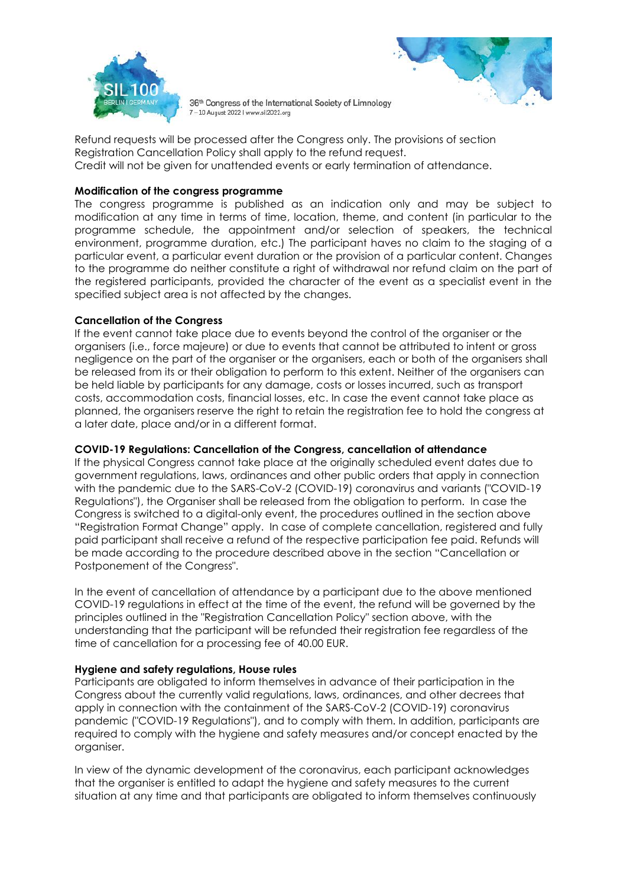



Refund requests will be processed after the Congress only. The provisions of section Registration Cancellation Policy shall apply to the refund request. Credit will not be given for unattended events or early termination of attendance.

### **Modification of the congress programme**

The congress programme is published as an indication only and may be subject to modification at any time in terms of time, location, theme, and content (in particular to the programme schedule, the appointment and/or selection of speakers, the technical environment, programme duration, etc.) The participant haves no claim to the staging of a particular event, a particular event duration or the provision of a particular content. Changes to the programme do neither constitute a right of withdrawal nor refund claim on the part of the registered participants, provided the character of the event as a specialist event in the specified subject area is not affected by the changes.

### **Cancellation of the Congress**

If the event cannot take place due to events beyond the control of the organiser or the organisers (i.e., force majeure) or due to events that cannot be attributed to intent or gross negligence on the part of the organiser or the organisers, each or both of the organisers shall be released from its or their obligation to perform to this extent. Neither of the organisers can be held liable by participants for any damage, costs or losses incurred, such as transport costs, accommodation costs, financial losses, etc. In case the event cannot take place as planned, the organisers reserve the right to retain the registration fee to hold the congress at a later date, place and/or in a different format.

### **COVID-19 Regulations: Cancellation of the Congress, cancellation of attendance**

If the physical Congress cannot take place at the originally scheduled event dates due to government regulations, laws, ordinances and other public orders that apply in connection with the pandemic due to the SARS-CoV-2 (COVID-19) coronavirus and variants ("COVID-19 Regulations"), the Organiser shall be released from the obligation to perform. In case the Congress is switched to a digital-only event, the procedures outlined in the section above "Registration Format Change" apply. In case of complete cancellation, registered and fully paid participant shall receive a refund of the respective participation fee paid. Refunds will be made according to the procedure described above in the section "Cancellation or Postponement of the Congress".

In the event of cancellation of attendance by a participant due to the above mentioned COVID-19 regulations in effect at the time of the event, the refund will be governed by the principles outlined in the "Registration Cancellation Policy" section above, with the understanding that the participant will be refunded their registration fee regardless of the time of cancellation for a processing fee of 40.00 EUR.

#### **Hygiene and safety regulations, House rules**

Participants are obligated to inform themselves in advance of their participation in the Congress about the currently valid regulations, laws, ordinances, and other decrees that apply in connection with the containment of the SARS-CoV-2 (COVID-19) coronavirus pandemic ("COVID-19 Regulations"), and to comply with them. In addition, participants are required to comply with the hygiene and safety measures and/or concept enacted by the organiser.

In view of the dynamic development of the coronavirus, each participant acknowledges that the organiser is entitled to adapt the hygiene and safety measures to the current situation at any time and that participants are obligated to inform themselves continuously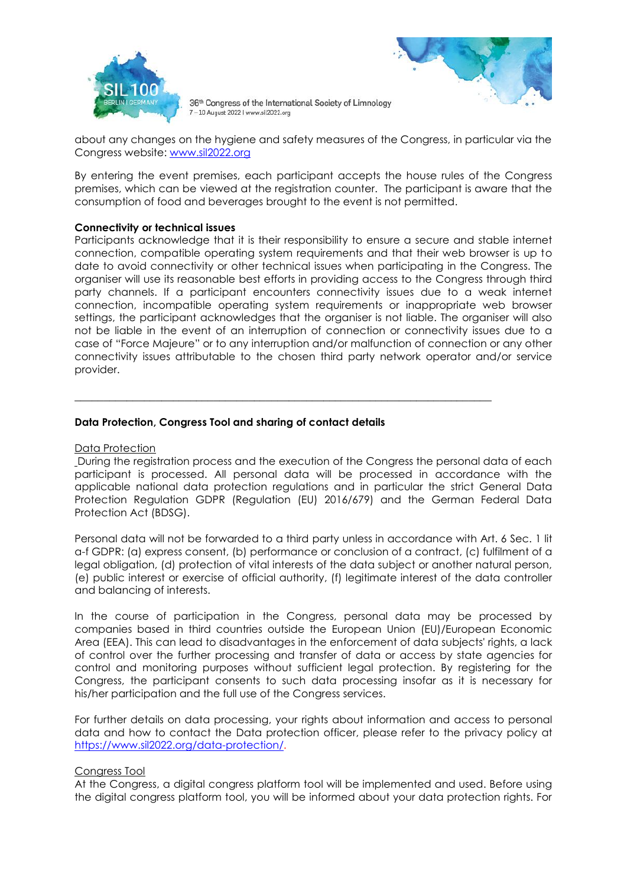



about any changes on the hygiene and safety measures of the Congress, in particular via the Congress website: [www.sil2022.org](http://www.sil2022.org/)

By entering the event premises, each participant accepts the house rules of the Congress premises, which can be viewed at the registration counter. The participant is aware that the consumption of food and beverages brought to the event is not permitted.

#### **Connectivity or technical issues**

Participants acknowledge that it is their responsibility to ensure a secure and stable internet connection, compatible operating system requirements and that their web browser is up to date to avoid connectivity or other technical issues when participating in the Congress. The organiser will use its reasonable best efforts in providing access to the Congress through third party channels. If a participant encounters connectivity issues due to a weak internet connection, incompatible operating system requirements or inappropriate web browser settings, the participant acknowledges that the organiser is not liable. The organiser will also not be liable in the event of an interruption of connection or connectivity issues due to a case of "Force Majeure" or to any interruption and/or malfunction of connection or any other connectivity issues attributable to the chosen third party network operator and/or service provider.

# **Data Protection, Congress Tool and sharing of contact details**

#### Data Protection

During the registration process and the execution of the Congress the personal data of each participant is processed. All personal data will be processed in accordance with the applicable national data protection regulations and in particular the strict General Data Protection Regulation GDPR (Regulation (EU) 2016/679) and the German Federal Data Protection Act (BDSG).

\_\_\_\_\_\_\_\_\_\_\_\_\_\_\_\_\_\_\_\_\_\_\_\_\_\_\_\_\_\_\_\_\_\_\_\_\_\_\_\_\_\_\_\_\_\_\_\_\_\_\_\_\_\_\_\_\_\_\_\_\_\_\_\_\_\_\_\_\_\_\_\_

Personal data will not be forwarded to a third party unless in accordance with Art. 6 Sec. 1 lit a-f GDPR: (a) express consent, (b) performance or conclusion of a contract, (c) fulfilment of a legal obligation, (d) protection of vital interests of the data subject or another natural person, (e) public interest or exercise of official authority, (f) legitimate interest of the data controller and balancing of interests.

In the course of participation in the Congress, personal data may be processed by companies based in third countries outside the European Union (EU)/European Economic Area (EEA). This can lead to disadvantages in the enforcement of data subjects' rights, a lack of control over the further processing and transfer of data or access by state agencies for control and monitoring purposes without sufficient legal protection. By registering for the Congress, the participant consents to such data processing insofar as it is necessary for his/her participation and the full use of the Congress services.

For further details on data processing, your rights about information and access to personal data and how to contact the Data protection officer, please refer to the privacy policy at [https://www.sil2022.org/data-protection/.](https://www.sil2022.org/data-protection/)

# Congress Tool

At the Congress, a digital congress platform tool will be implemented and used. Before using the digital congress platform tool, you will be informed about your data protection rights. For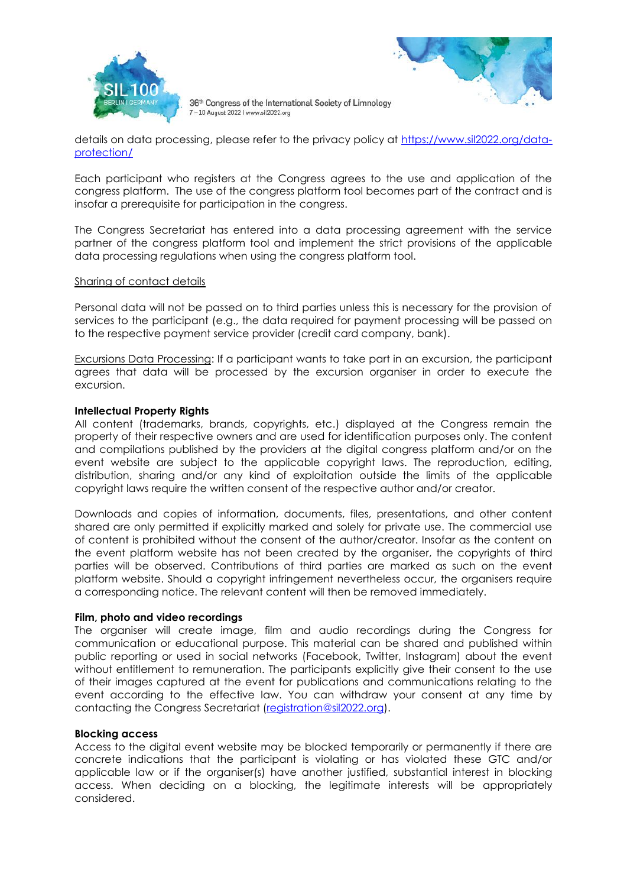



details on data processing, please refer to the privacy policy at [https://www.sil2022.org/data](https://www.sil2022.org/data-protection/)[protection/](https://www.sil2022.org/data-protection/)

Each participant who registers at the Congress agrees to the use and application of the congress platform. The use of the congress platform tool becomes part of the contract and is insofar a prerequisite for participation in the congress.

The Congress Secretariat has entered into a data processing agreement with the service partner of the congress platform tool and implement the strict provisions of the applicable data processing regulations when using the congress platform tool.

#### Sharing of contact details

Personal data will not be passed on to third parties unless this is necessary for the provision of services to the participant (e.g., the data required for payment processing will be passed on to the respective payment service provider (credit card company, bank).

Excursions Data Processing: If a participant wants to take part in an excursion, the participant agrees that data will be processed by the excursion organiser in order to execute the excursion.

#### **Intellectual Property Rights**

All content (trademarks, brands, copyrights, etc.) displayed at the Congress remain the property of their respective owners and are used for identification purposes only. The content and compilations published by the providers at the digital congress platform and/or on the event website are subject to the applicable copyright laws. The reproduction, editing, distribution, sharing and/or any kind of exploitation outside the limits of the applicable copyright laws require the written consent of the respective author and/or creator.

Downloads and copies of information, documents, files, presentations, and other content shared are only permitted if explicitly marked and solely for private use. The commercial use of content is prohibited without the consent of the author/creator. Insofar as the content on the event platform website has not been created by the organiser, the copyrights of third parties will be observed. Contributions of third parties are marked as such on the event platform website. Should a copyright infringement nevertheless occur, the organisers require a corresponding notice. The relevant content will then be removed immediately.

#### **Film, photo and video recordings**

The organiser will create image, film and audio recordings during the Congress for communication or educational purpose. This material can be shared and published within public reporting or used in social networks (Facebook, Twitter, Instagram) about the event without entitlement to remuneration. The participants explicitly give their consent to the use of their images captured at the event for publications and communications relating to the event according to the effective law. You can withdraw your consent at any time by contacting the Congress Secretariat [\(registration@sil2022.org\)](file:///C:/Users/rminguez/AppData/Local/Microsoft/Library/Containers/com.apple.mail/Data/Library/Mail%20Downloads/09DD05E3-D30E-4CF6-92C1-5848DA51F82D/registration@sil2022.org).

#### **Blocking access**

Access to the digital event website may be blocked temporarily or permanently if there are concrete indications that the participant is violating or has violated these GTC and/or applicable law or if the organiser(s) have another justified, substantial interest in blocking access. When deciding on a blocking, the legitimate interests will be appropriately considered.